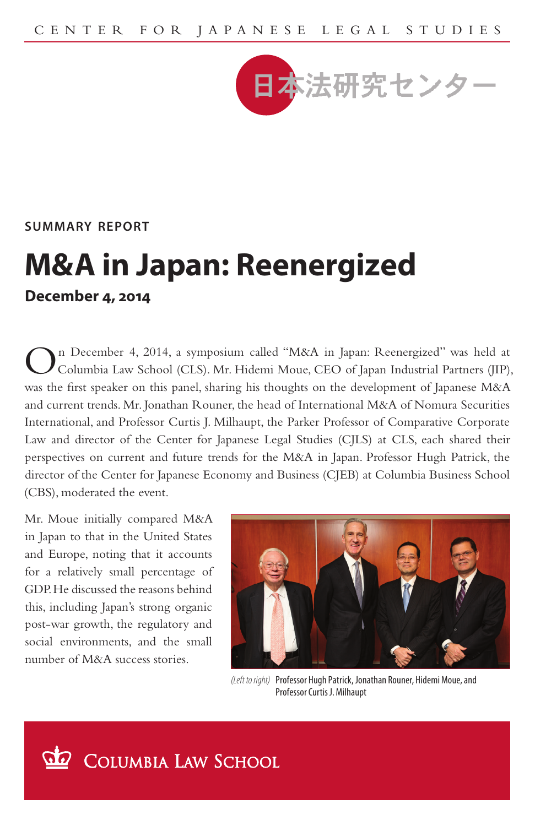

**summary report**

## **M&A in Japan: Reenergized December 4, 2014**

n December 4, 2014, a symposium called "M&A in Japan: Reenergized" was held at Columbia Law School (CLS). Mr. Hidemi Moue, CEO of Japan Industrial Partners (JIP), was the first speaker on this panel, sharing his thoughts on the development of Japanese M&A and current trends. Mr. Jonathan Rouner, the head of International M&A of Nomura Securities International, and Professor Curtis J. Milhaupt, the Parker Professor of Comparative Corporate Law and director of the Center for Japanese Legal Studies (CJLS) at CLS, each shared their perspectives on current and future trends for the M&A in Japan. Professor Hugh Patrick, the director of the Center for Japanese Economy and Business (CJEB) at Columbia Business School (CBS), moderated the event.

Mr. Moue initially compared M&A in Japan to that in the United States and Europe, noting that it accounts for a relatively small percentage of GDP. He discussed the reasons behind this, including Japan's strong organic post-war growth, the regulatory and social environments, and the small number of M&A success stories.



*(Left to right)* Professor Hugh Patrick, Jonathan Rouner, Hidemi Moue, and Professor Curtis J. Milhaupt

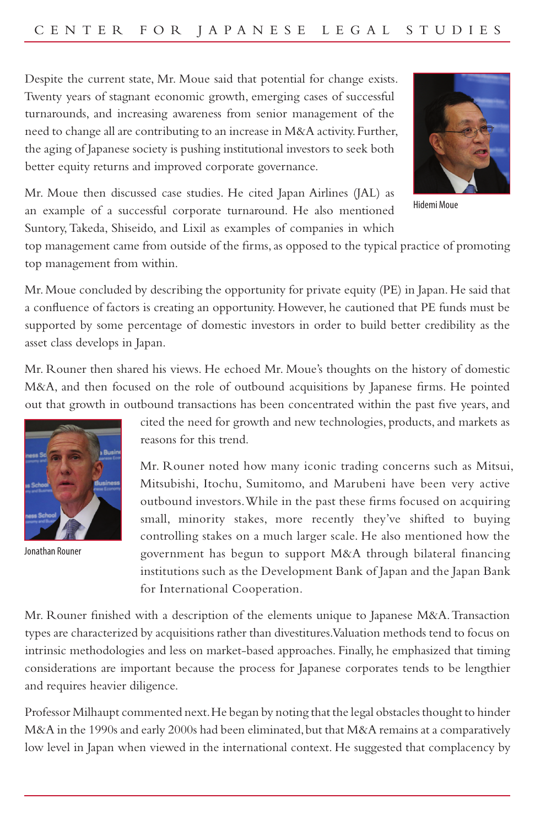Despite the current state, Mr. Moue said that potential for change exists. Twenty years of stagnant economic growth, emerging cases of successful turnarounds, and increasing awareness from senior management of the need to change all are contributing to an increase in M&A activity. Further, the aging of Japanese society is pushing institutional investors to seek both better equity returns and improved corporate governance.



Hidemi Moue

Mr. Moue then discussed case studies. He cited Japan Airlines (JAL) as an example of a successful corporate turnaround. He also mentioned Suntory, Takeda, Shiseido, and Lixil as examples of companies in which

top management came from outside of the firms, as opposed to the typical practice of promoting top management from within.

Mr. Moue concluded by describing the opportunity for private equity (PE) in Japan. He said that a confluence of factors is creating an opportunity. However, he cautioned that PE funds must be supported by some percentage of domestic investors in order to build better credibility as the asset class develops in Japan.

Mr. Rouner then shared his views. He echoed Mr. Moue's thoughts on the history of domestic M&A, and then focused on the role of outbound acquisitions by Japanese firms. He pointed out that growth in outbound transactions has been concentrated within the past five years, and



Jonathan Rouner

cited the need for growth and new technologies, products, and markets as reasons for this trend.

Mr. Rouner noted how many iconic trading concerns such as Mitsui, Mitsubishi, Itochu, Sumitomo, and Marubeni have been very active outbound investors. While in the past these firms focused on acquiring small, minority stakes, more recently they've shifted to buying controlling stakes on a much larger scale. He also mentioned how the government has begun to support M&A through bilateral financing institutions such as the Development Bank of Japan and the Japan Bank for International Cooperation.

Mr. Rouner finished with a description of the elements unique to Japanese M&A. Transaction types are characterized by acquisitions rather than divestitures. Valuation methods tend to focus on intrinsic methodologies and less on market-based approaches. Finally, he emphasized that timing considerations are important because the process for Japanese corporates tends to be lengthier and requires heavier diligence.

Professor Milhaupt commented next. He began by noting that the legal obstacles thought to hinder M&A in the 1990s and early 2000s had been eliminated, but that M&A remains at a comparatively low level in Japan when viewed in the international context. He suggested that complacency by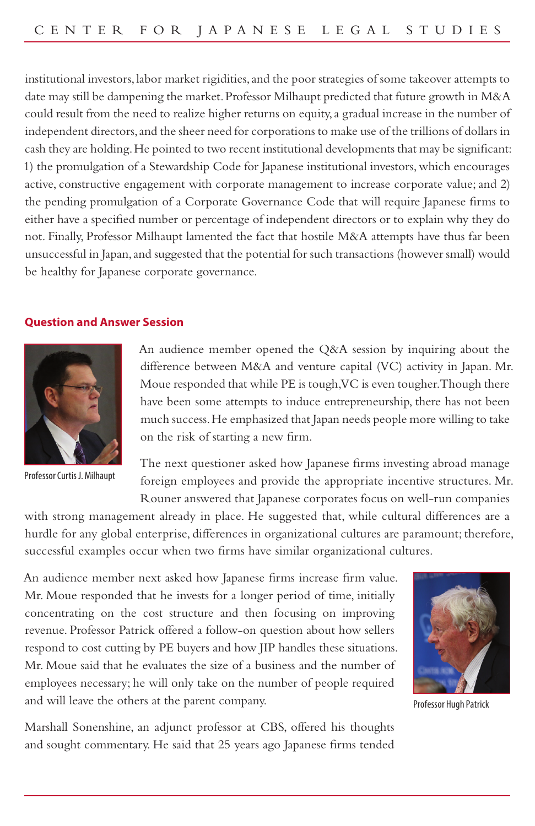institutional investors, labor market rigidities, and the poor strategies of some takeover attempts to date may still be dampening the market. Professor Milhaupt predicted that future growth in M&A could result from the need to realize higher returns on equity, a gradual increase in the number of independent directors, and the sheer need for corporations to make use of the trillions of dollars in cash they are holding. He pointed to two recent institutional developments that may be significant: 1) the promulgation of a Stewardship Code for Japanese institutional investors, which encourages active, constructive engagement with corporate management to increase corporate value; and 2) the pending promulgation of a Corporate Governance Code that will require Japanese firms to either have a specified number or percentage of independent directors or to explain why they do not. Finally, Professor Milhaupt lamented the fact that hostile M&A attempts have thus far been unsuccessful in Japan, and suggested that the potential for such transactions (however small) would be healthy for Japanese corporate governance.

## **Question and Answer Session**



Professor Curtis J. Milhaupt

An audience member opened the Q&A session by inquiring about the difference between M&A and venture capital (VC) activity in Japan. Mr. Moue responded that while PE is tough, VC is even tougher. Though there have been some attempts to induce entrepreneurship, there has not been much success. He emphasized that Japan needs people more willing to take on the risk of starting a new firm.

The next questioner asked how Japanese firms investing abroad manage foreign employees and provide the appropriate incentive structures. Mr. Rouner answered that Japanese corporates focus on well-run companies

with strong management already in place. He suggested that, while cultural differences are a hurdle for any global enterprise, differences in organizational cultures are paramount; therefore, successful examples occur when two firms have similar organizational cultures.

An audience member next asked how Japanese firms increase firm value. Mr. Moue responded that he invests for a longer period of time, initially concentrating on the cost structure and then focusing on improving revenue. Professor Patrick offered a follow-on question about how sellers respond to cost cutting by PE buyers and how JIP handles these situations. Mr. Moue said that he evaluates the size of a business and the number of employees necessary; he will only take on the number of people required and will leave the others at the parent company.



Professor Hugh Patrick

Marshall Sonenshine, an adjunct professor at CBS, offered his thoughts and sought commentary. He said that 25 years ago Japanese firms tended